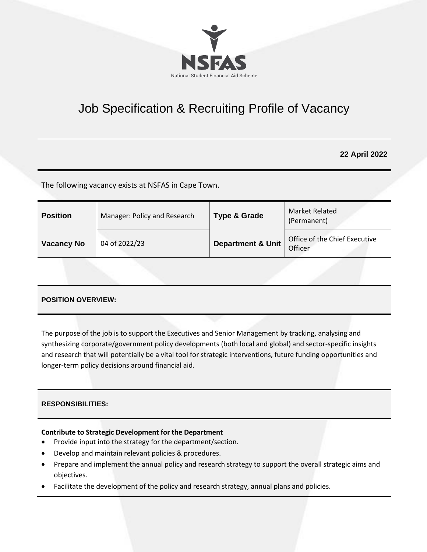

# Job Specification & Recruiting Profile of Vacancy

# **22 April 2022**

The following vacancy exists at NSFAS in Cape Town.

|                                                                               | <b>Position</b> | Manager: Policy and Research | Type & Grade | Market Related<br>(Permanent) |
|-------------------------------------------------------------------------------|-----------------|------------------------------|--------------|-------------------------------|
| <b>Department &amp; Unit</b><br>04 of 2022/23<br><b>Vacancy No</b><br>Officer |                 |                              |              | Office of the Chief Executive |

## **POSITION OVERVIEW:**

The purpose of the job is to support the Executives and Senior Management by tracking, analysing and synthesizing corporate/government policy developments (both local and global) and sector-specific insights and research that will potentially be a vital tool for strategic interventions, future funding opportunities and longer-term policy decisions around financial aid.

## **RESPONSIBILITIES:**

## **Contribute to Strategic Development for the Department**

- Provide input into the strategy for the department/section.
- Develop and maintain relevant policies & procedures.
- Prepare and implement the annual policy and research strategy to support the overall strategic aims and objectives.
- Facilitate the development of the policy and research strategy, annual plans and policies.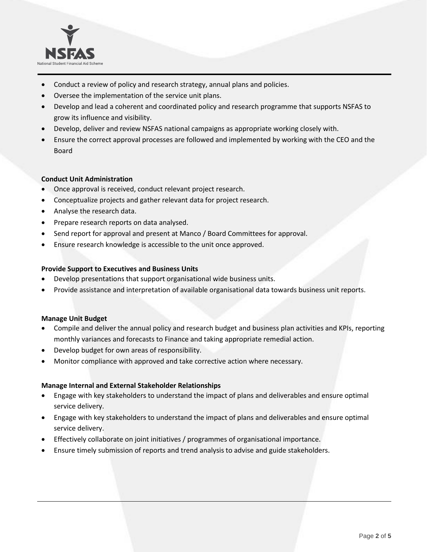

- Conduct a review of policy and research strategy, annual plans and policies.
- Oversee the implementation of the service unit plans.
- Develop and lead a coherent and coordinated policy and research programme that supports NSFAS to grow its influence and visibility.
- Develop, deliver and review NSFAS national campaigns as appropriate working closely with.
- Ensure the correct approval processes are followed and implemented by working with the CEO and the Board

#### **Conduct Unit Administration**

- Once approval is received, conduct relevant project research.
- Conceptualize projects and gather relevant data for project research.
- Analyse the research data.
- Prepare research reports on data analysed.
- Send report for approval and present at Manco / Board Committees for approval.
- Ensure research knowledge is accessible to the unit once approved.

#### **Provide Support to Executives and Business Units**

- Develop presentations that support organisational wide business units.
- Provide assistance and interpretation of available organisational data towards business unit reports.

#### **Manage Unit Budget**

- Compile and deliver the annual policy and research budget and business plan activities and KPIs, reporting monthly variances and forecasts to Finance and taking appropriate remedial action.
- Develop budget for own areas of responsibility.
- Monitor compliance with approved and take corrective action where necessary.

#### **Manage Internal and External Stakeholder Relationships**

- Engage with key stakeholders to understand the impact of plans and deliverables and ensure optimal service delivery.
- Engage with key stakeholders to understand the impact of plans and deliverables and ensure optimal service delivery.
- Effectively collaborate on joint initiatives / programmes of organisational importance.
- Ensure timely submission of reports and trend analysis to advise and guide stakeholders.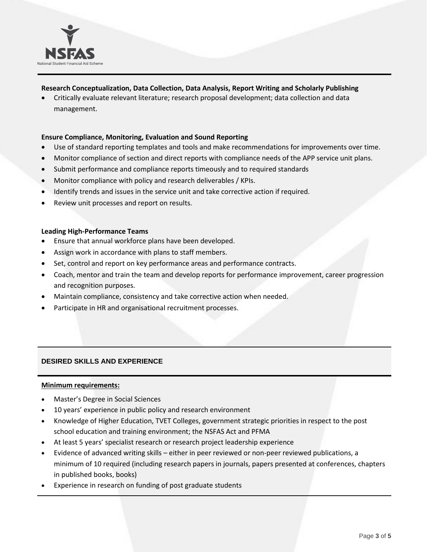

## **Research Conceptualization, Data Collection, Data Analysis, Report Writing and Scholarly Publishing**

• Critically evaluate relevant literature; research proposal development; data collection and data management.

## **Ensure Compliance, Monitoring, Evaluation and Sound Reporting**

- Use of standard reporting templates and tools and make recommendations for improvements over time.
- Monitor compliance of section and direct reports with compliance needs of the APP service unit plans.
- Submit performance and compliance reports timeously and to required standards
- Monitor compliance with policy and research deliverables / KPIs.
- Identify trends and issues in the service unit and take corrective action if required.
- Review unit processes and report on results.

#### **Leading High-Performance Teams**

- Ensure that annual workforce plans have been developed.
- Assign work in accordance with plans to staff members.
- Set, control and report on key performance areas and performance contracts.
- Coach, mentor and train the team and develop reports for performance improvement, career progression and recognition purposes.
- Maintain compliance, consistency and take corrective action when needed.
- Participate in HR and organisational recruitment processes.

## **DESIRED SKILLS AND EXPERIENCE**

#### **Minimum requirements:**

- Master's Degree in Social Sciences
- 10 years' experience in public policy and research environment
- Knowledge of Higher Education, TVET Colleges, government strategic priorities in respect to the post school education and training environment; the NSFAS Act and PFMA
- At least 5 years' specialist research or research project leadership experience
- Evidence of advanced writing skills either in peer reviewed or non-peer reviewed publications, a minimum of 10 required (including research papers in journals, papers presented at conferences, chapters in published books, books)
- Experience in research on funding of post graduate students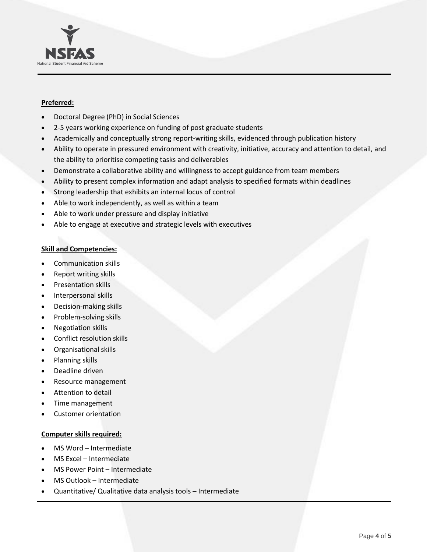

## **Preferred:**

- Doctoral Degree (PhD) in Social Sciences
- 2-5 years working experience on funding of post graduate students
- Academically and conceptually strong report-writing skills, evidenced through publication history
- Ability to operate in pressured environment with creativity, initiative, accuracy and attention to detail, and the ability to prioritise competing tasks and deliverables
- Demonstrate a collaborative ability and willingness to accept guidance from team members
- Ability to present complex information and adapt analysis to specified formats within deadlines
- Strong leadership that exhibits an internal locus of control
- Able to work independently, as well as within a team
- Able to work under pressure and display initiative
- Able to engage at executive and strategic levels with executives

## **Skill and Competencies:**

- Communication skills
- Report writing skills
- Presentation skills
- Interpersonal skills
- Decision-making skills
- Problem-solving skills
- Negotiation skills
- Conflict resolution skills
- Organisational skills
- Planning skills
- Deadline driven
- Resource management
- Attention to detail
- Time management
- Customer orientation

## **Computer skills required:**

- MS Word Intermediate
- MS Excel Intermediate
- MS Power Point Intermediate
- MS Outlook Intermediate
- Quantitative/ Qualitative data analysis tools Intermediate